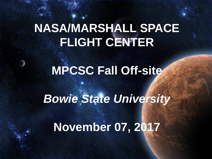# **NASA/MARSHALL SPACE FLIGHT CENTER**

#### **MPCSC Fall Off-site**

# *Bowie State University*

#### **November 07, 2017**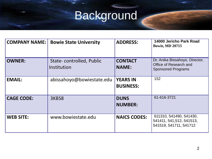# Background

| <b>COMPANY NAME:</b> | <b>Bowie State University</b>           | <b>ADDRESS:</b>                     | 14000 Jericho Park Road<br><b>Bowie, MD 20715</b>                                     |
|----------------------|-----------------------------------------|-------------------------------------|---------------------------------------------------------------------------------------|
| <b>OWNER:</b>        | State-controlled, Public<br>Institution | <b>CONTACT</b><br><b>NAME:</b>      | Dr. Anika Bissahoyo, Director,<br>Office of Research and<br><b>Sponsored Programs</b> |
| <b>EMAIL:</b>        | abissahoyo@bowiestate.edu               | <b>YEARS IN</b><br><b>BUSINESS:</b> | 152                                                                                   |
| <b>CAGE CODE:</b>    | 3KBS8                                   | <b>DUNS</b><br><b>NUMBER:</b>       | 61-616-3721                                                                           |
| <b>WEB SITE:</b>     | www.bowiestate.edu                      | <b>NAICS CODES:</b>                 | 611310, 541490, 541430,<br>541411, 541, 512, 541513,<br>541519, 541711, 541712        |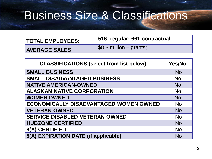# Business Size & Classifications

| <b>TOTAL EMPLOYEES:</b> | 516- regular; 661-contractual |  |
|-------------------------|-------------------------------|--|
| <b>AVERAGE SALES:</b>   | $$8.8$ million – grants;      |  |

| <b>CLASSIFICATIONS (select from list below):</b> | <b>Yes/No</b> |
|--------------------------------------------------|---------------|
| <b>SMALL BUSINESS</b>                            | <b>No</b>     |
| <b>SMALL DISADVANTAGED BUSINESS</b>              | <b>No</b>     |
| <b>NATIVE AMERICAN-OWNED</b>                     | <b>No</b>     |
| <b>ALASKAN NATIVE CORPORATION</b>                | <b>No</b>     |
| <b>WOMEN OWNED</b>                               | <b>No</b>     |
| <b>ECONOMICALLY DISADVANTAGED WOMEN OWNED</b>    | <b>No</b>     |
| <b>VETERAN-OWNED</b>                             | <b>No</b>     |
| <b>SERVICE DISABLED VETERAN OWNED</b>            | <b>No</b>     |
| <b>HUBZONE CERTIFIED</b>                         | <b>No</b>     |
| 8(A) CERTIFIED                                   | <b>No</b>     |
| 8(A) EXPIRATION DATE (if applicable)             | <b>No</b>     |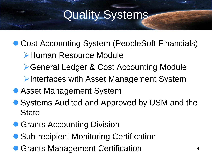# Quality Systems

- Cost Accounting System (PeopleSoft Financials)
	- Human Resource Module
	- ▶General Ledger & Cost Accounting Module
	- **Interfaces with Asset Management System**
- **Asset Management System**
- Systems Audited and Approved by USM and the **State**
- **Grants Accounting Division**
- Sub-recipient Monitoring Certification
- **Grants Management Certification**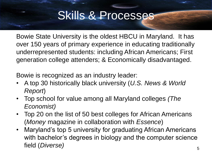#### Skills & Processes

Bowie State University is the oldest HBCU in Maryland. It has over 150 years of primary experience in educating traditionally underrepresented students: including African Americans; First generation college attenders; & Economically disadvantaged.

Bowie is recognized as an industry leader:

- A top 30 historically black university (*U.S. News & World Report*)
- Top school for value among all Maryland colleges *(The Economist)*
- Top 20 on the list of 50 best colleges for African Americans (*Money* magazine in collaboration with *Essence*)
- Maryland's top 5 university for graduating African Americans with bachelor's degrees in biology and the computer science field (*Diverse)*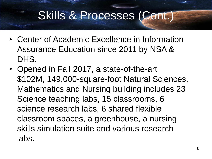# Skills & Processes (Cont.)

- Center of Academic Excellence in Information Assurance Education since 2011 by NSA & DHS.
- Opened in Fall 2017, a state-of-the-art \$102M, 149,000-square-foot Natural Sciences, Mathematics and Nursing building includes 23 Science teaching labs, 15 classrooms, 6 science research labs, 6 shared flexible classroom spaces, a greenhouse, a nursing skills simulation suite and various research labs.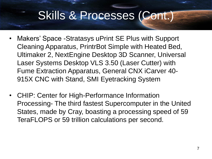### Skills & Processes (Cont.)

- Makers' Space -Stratasys uPrint SE Plus with Support Cleaning Apparatus, PrintrBot Simple with Heated Bed, Ultimaker 2, NextEngine Desktop 3D Scanner, Universal Laser Systems Desktop VLS 3.50 (Laser Cutter) with Fume Extraction Apparatus, General CNX iCarver 40- 915X CNC with Stand, SMI Eyetracking System
- CHIP: Center for High-Performance Information Processing- The third fastest Supercomputer in the United States, made by Cray, boasting a processing speed of 59 TeraFLOPS or 59 trillion calculations per second.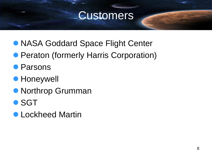#### Customers

- **NASA Goddard Space Flight Center**
- **Peraton (formerly Harris Corporation)**
- **Parsons**
- **Honeywell**
- **Northrop Grumman**
- SGT
- **Lockheed Martin**